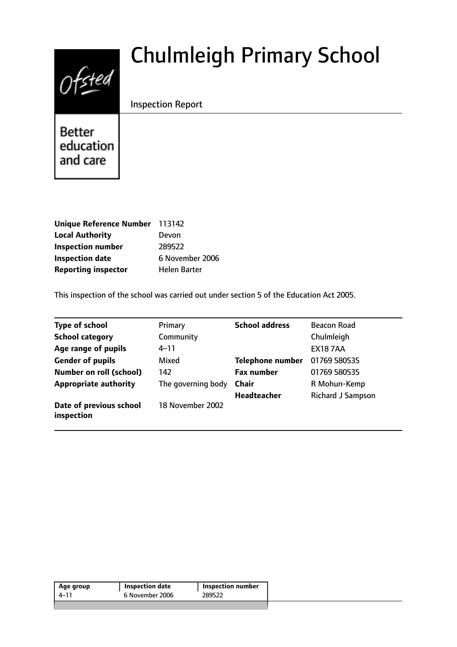# $0$ fsted

# Chulmleigh Primary School

# Inspection Report

**Better** education and care

| Unique Reference Number 113142 |                 |
|--------------------------------|-----------------|
| <b>Local Authority</b>         | Devon           |
| <b>Inspection number</b>       | 289522          |
| <b>Inspection date</b>         | 6 November 2006 |
| <b>Reporting inspector</b>     | Helen Barter    |

This inspection of the school was carried out under section 5 of the Education Act 2005.

| <b>Type of school</b>                 | Primary            | <b>School address</b>   | <b>Beacon Road</b> |
|---------------------------------------|--------------------|-------------------------|--------------------|
| <b>School category</b>                | Community          |                         | Chulmleigh         |
| Age range of pupils                   | 4–11               |                         | <b>EX187AA</b>     |
| <b>Gender of pupils</b>               | Mixed              | <b>Telephone number</b> | 01769 580535       |
| <b>Number on roll (school)</b>        | 142                | <b>Fax number</b>       | 01769 580535       |
| <b>Appropriate authority</b>          | The governing body | Chair                   | R Mohun-Kemp       |
|                                       |                    | <b>Headteacher</b>      | Richard J Sampson  |
| Date of previous school<br>inspection | 18 November 2002   |                         |                    |

| Age group | Inspection date | Inspection number |
|-----------|-----------------|-------------------|
| 4–11      | 6 November 2006 | 289522            |
|           |                 |                   |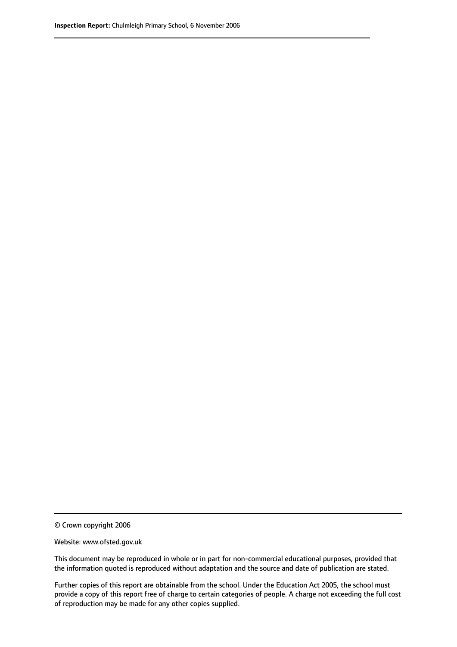© Crown copyright 2006

Website: www.ofsted.gov.uk

This document may be reproduced in whole or in part for non-commercial educational purposes, provided that the information quoted is reproduced without adaptation and the source and date of publication are stated.

Further copies of this report are obtainable from the school. Under the Education Act 2005, the school must provide a copy of this report free of charge to certain categories of people. A charge not exceeding the full cost of reproduction may be made for any other copies supplied.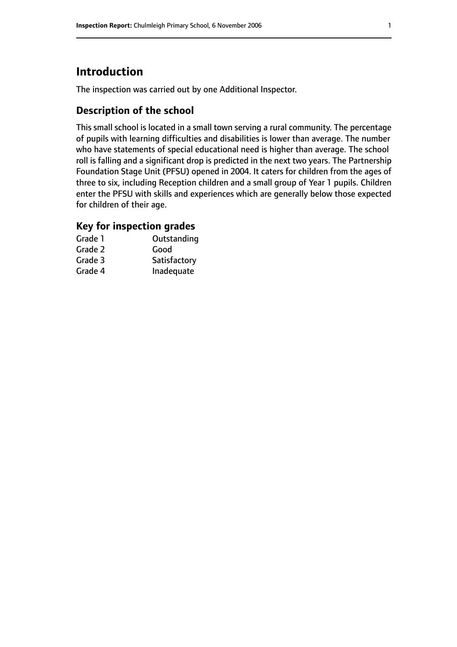# **Introduction**

The inspection was carried out by one Additional Inspector.

# **Description of the school**

This small school is located in a small town serving a rural community. The percentage of pupils with learning difficulties and disabilities is lower than average. The number who have statements of special educational need is higher than average. The school roll is falling and a significant drop is predicted in the next two years. The Partnership Foundation Stage Unit (PFSU) opened in 2004. It caters for children from the ages of three to six, including Reception children and a small group of Year 1 pupils. Children enter the PFSU with skills and experiences which are generally below those expected for children of their age.

### **Key for inspection grades**

| Grade 1 | Outstanding  |
|---------|--------------|
| Grade 2 | Good         |
| Grade 3 | Satisfactory |
| Grade 4 | Inadequate   |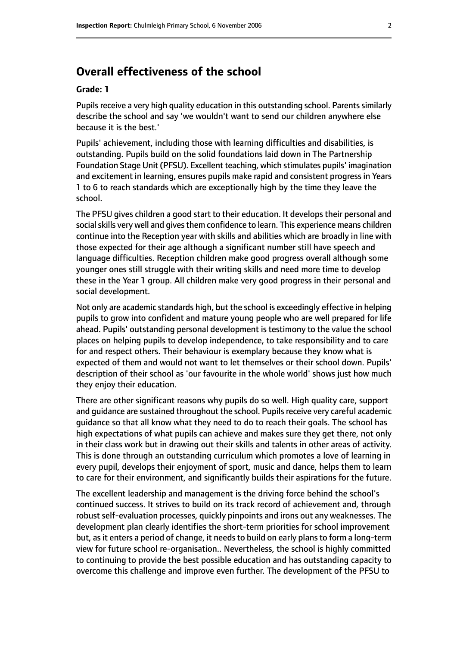# **Overall effectiveness of the school**

#### **Grade: 1**

Pupils receive a very high quality education in this outstanding school. Parents similarly describe the school and say 'we wouldn't want to send our children anywhere else because it is the best.'

Pupils' achievement, including those with learning difficulties and disabilities, is outstanding. Pupils build on the solid foundations laid down in The Partnership Foundation Stage Unit (PFSU). Excellent teaching, which stimulates pupils' imagination and excitement in learning, ensures pupils make rapid and consistent progress in Years 1 to 6 to reach standards which are exceptionally high by the time they leave the school.

The PFSU gives children a good start to their education. It develops their personal and social skills very well and gives them confidence to learn. This experience means children continue into the Reception year with skills and abilities which are broadly in line with those expected for their age although a significant number still have speech and language difficulties. Reception children make good progress overall although some younger ones still struggle with their writing skills and need more time to develop these in the Year 1 group. All children make very good progress in their personal and social development.

Not only are academic standards high, but the school is exceedingly effective in helping pupils to grow into confident and mature young people who are well prepared for life ahead. Pupils' outstanding personal development is testimony to the value the school places on helping pupils to develop independence, to take responsibility and to care for and respect others. Their behaviour is exemplary because they know what is expected of them and would not want to let themselves or their school down. Pupils' description of their school as 'our favourite in the whole world' shows just how much they enjoy their education.

There are other significant reasons why pupils do so well. High quality care, support and quidance are sustained throughout the school. Pupils receive very careful academic guidance so that all know what they need to do to reach their goals. The school has high expectations of what pupils can achieve and makes sure they get there, not only in their class work but in drawing out their skills and talents in other areas of activity. This is done through an outstanding curriculum which promotes a love of learning in every pupil, develops their enjoyment of sport, music and dance, helps them to learn to care for their environment, and significantly builds their aspirations for the future.

The excellent leadership and management is the driving force behind the school's continued success. It strives to build on its track record of achievement and, through robust self-evaluation processes, quickly pinpoints and irons out any weaknesses. The development plan clearly identifies the short-term priorities for school improvement but, as it enters a period of change, it needs to build on early plans to form a long-term view for future school re-organisation.. Nevertheless, the school is highly committed to continuing to provide the best possible education and has outstanding capacity to overcome this challenge and improve even further. The development of the PFSU to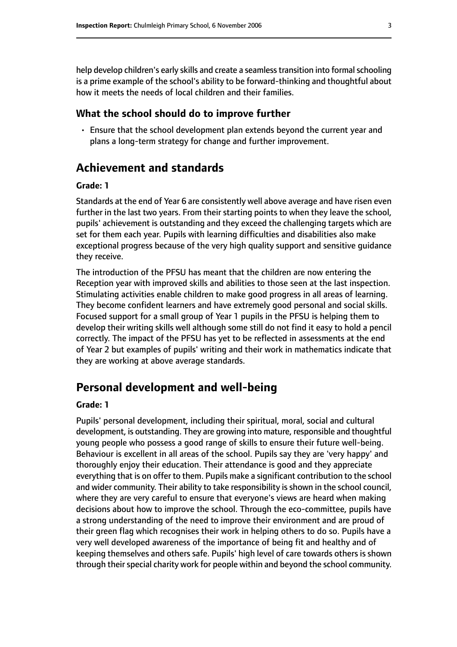help develop children's early skills and create a seamless transition into formal schooling is a prime example of the school's ability to be forward-thinking and thoughtful about how it meets the needs of local children and their families.

#### **What the school should do to improve further**

• Ensure that the school development plan extends beyond the current year and plans a long-term strategy for change and further improvement.

# **Achievement and standards**

#### **Grade: 1**

Standards at the end of Year 6 are consistently well above average and have risen even further in the last two years. From their starting points to when they leave the school, pupils' achievement is outstanding and they exceed the challenging targets which are set for them each year. Pupils with learning difficulties and disabilities also make exceptional progress because of the very high quality support and sensitive guidance they receive.

The introduction of the PFSU has meant that the children are now entering the Reception year with improved skills and abilities to those seen at the last inspection. Stimulating activities enable children to make good progress in all areas of learning. They become confident learners and have extremely good personal and social skills. Focused support for a small group of Year 1 pupils in the PFSU is helping them to develop their writing skills well although some still do not find it easy to hold a pencil correctly. The impact of the PFSU has yet to be reflected in assessments at the end of Year 2 but examples of pupils' writing and their work in mathematics indicate that they are working at above average standards.

# **Personal development and well-being**

#### **Grade: 1**

Pupils' personal development, including their spiritual, moral, social and cultural development, is outstanding. They are growing into mature, responsible and thoughtful young people who possess a good range of skills to ensure their future well-being. Behaviour is excellent in all areas of the school. Pupils say they are 'very happy' and thoroughly enjoy their education. Their attendance is good and they appreciate everything that is on offer to them. Pupils make a significant contribution to the school and wider community. Their ability to take responsibility is shown in the school council, where they are very careful to ensure that everyone's views are heard when making decisions about how to improve the school. Through the eco-committee, pupils have a strong understanding of the need to improve their environment and are proud of their green flag which recognises their work in helping others to do so. Pupils have a very well developed awareness of the importance of being fit and healthy and of keeping themselves and others safe. Pupils' high level of care towards others is shown through their special charity work for people within and beyond the school community.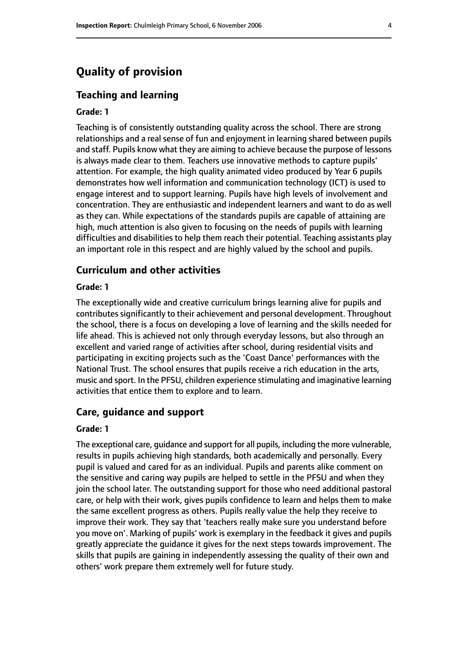# **Quality of provision**

#### **Teaching and learning**

#### **Grade: 1**

Teaching is of consistently outstanding quality across the school. There are strong relationships and a real sense of fun and enjoyment in learning shared between pupils and staff. Pupils know what they are aiming to achieve because the purpose of lessons is always made clear to them. Teachers use innovative methods to capture pupils' attention. For example, the high quality animated video produced by Year 6 pupils demonstrates how well information and communication technology (ICT) is used to engage interest and to support learning. Pupils have high levels of involvement and concentration. They are enthusiastic and independent learners and want to do as well as they can. While expectations of the standards pupils are capable of attaining are high, much attention is also given to focusing on the needs of pupils with learning difficulties and disabilities to help them reach their potential. Teaching assistants play an important role in this respect and are highly valued by the school and pupils.

#### **Curriculum and other activities**

#### **Grade: 1**

The exceptionally wide and creative curriculum brings learning alive for pupils and contributes significantly to their achievement and personal development. Throughout the school, there is a focus on developing a love of learning and the skills needed for life ahead. This is achieved not only through everyday lessons, but also through an excellent and varied range of activities after school, during residential visits and participating in exciting projects such as the 'Coast Dance' performances with the National Trust. The school ensures that pupils receive a rich education in the arts, music and sport. In the PFSU, children experience stimulating and imaginative learning activities that entice them to explore and to learn.

#### **Care, guidance and support**

#### **Grade: 1**

The exceptional care, guidance and support for all pupils, including the more vulnerable, results in pupils achieving high standards, both academically and personally. Every pupil is valued and cared for as an individual. Pupils and parents alike comment on the sensitive and caring way pupils are helped to settle in the PFSU and when they join the school later. The outstanding support for those who need additional pastoral care, or help with their work, gives pupils confidence to learn and helps them to make the same excellent progress as others. Pupils really value the help they receive to improve their work. They say that 'teachers really make sure you understand before you move on'. Marking of pupils' work is exemplary in the feedback it gives and pupils greatly appreciate the guidance it gives for the next steps towards improvement. The skills that pupils are gaining in independently assessing the quality of their own and others' work prepare them extremely well for future study.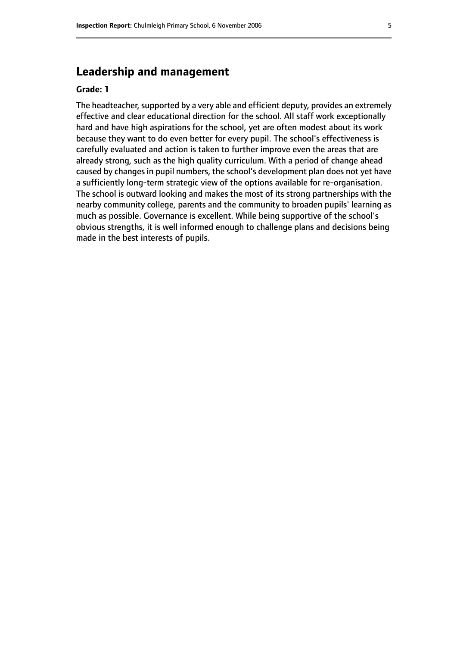# **Leadership and management**

#### **Grade: 1**

The headteacher, supported by a very able and efficient deputy, provides an extremely effective and clear educational direction for the school. All staff work exceptionally hard and have high aspirations for the school, yet are often modest about its work because they want to do even better for every pupil. The school's effectiveness is carefully evaluated and action is taken to further improve even the areas that are already strong, such as the high quality curriculum. With a period of change ahead caused by changes in pupil numbers, the school's development plan does not yet have a sufficiently long-term strategic view of the options available for re-organisation. The school is outward looking and makes the most of its strong partnerships with the nearby community college, parents and the community to broaden pupils' learning as much as possible. Governance is excellent. While being supportive of the school's obvious strengths, it is well informed enough to challenge plans and decisions being made in the best interests of pupils.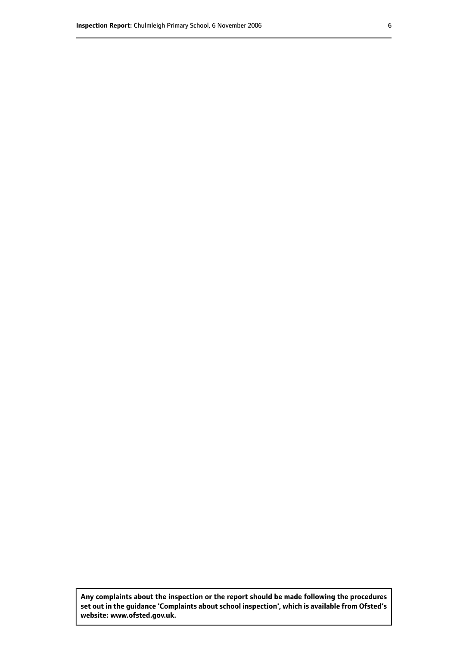**Any complaints about the inspection or the report should be made following the procedures set out inthe guidance 'Complaints about school inspection', whichis available from Ofsted's website: www.ofsted.gov.uk.**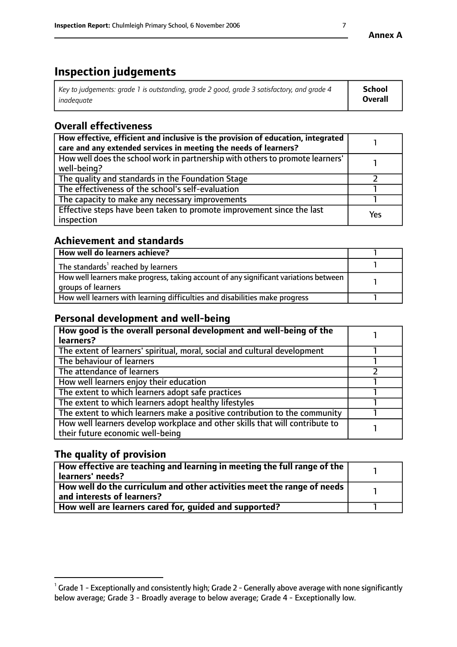# **Inspection judgements**

| Key to judgements: grade 1 is outstanding, grade 2 good, grade 3 satisfactory, and grade 4 | School         |
|--------------------------------------------------------------------------------------------|----------------|
| inadeauate                                                                                 | <b>Overall</b> |

# **Overall effectiveness**

| How effective, efficient and inclusive is the provision of education, integrated<br>care and any extended services in meeting the needs of learners? |     |
|------------------------------------------------------------------------------------------------------------------------------------------------------|-----|
| How well does the school work in partnership with others to promote learners'<br>well-being?                                                         |     |
| The quality and standards in the Foundation Stage                                                                                                    |     |
| The effectiveness of the school's self-evaluation                                                                                                    |     |
| The capacity to make any necessary improvements                                                                                                      |     |
| Effective steps have been taken to promote improvement since the last<br>inspection                                                                  | Yes |

## **Achievement and standards**

| How well do learners achieve?                                                                               |  |
|-------------------------------------------------------------------------------------------------------------|--|
| The standards <sup>1</sup> reached by learners                                                              |  |
| How well learners make progress, taking account of any significant variations between<br>groups of learners |  |
| How well learners with learning difficulties and disabilities make progress                                 |  |

# **Personal development and well-being**

| How good is the overall personal development and well-being of the<br>learners?                                  |  |
|------------------------------------------------------------------------------------------------------------------|--|
| The extent of learners' spiritual, moral, social and cultural development                                        |  |
| The behaviour of learners                                                                                        |  |
| The attendance of learners                                                                                       |  |
| How well learners enjoy their education                                                                          |  |
| The extent to which learners adopt safe practices                                                                |  |
| The extent to which learners adopt healthy lifestyles                                                            |  |
| The extent to which learners make a positive contribution to the community                                       |  |
| How well learners develop workplace and other skills that will contribute to<br>their future economic well-being |  |

# **The quality of provision**

| How effective are teaching and learning in meeting the full range of the<br>learners' needs?          |  |
|-------------------------------------------------------------------------------------------------------|--|
| How well do the curriculum and other activities meet the range of needs<br>and interests of learners? |  |
| How well are learners cared for, quided and supported?                                                |  |

 $^1$  Grade 1 - Exceptionally and consistently high; Grade 2 - Generally above average with none significantly below average; Grade 3 - Broadly average to below average; Grade 4 - Exceptionally low.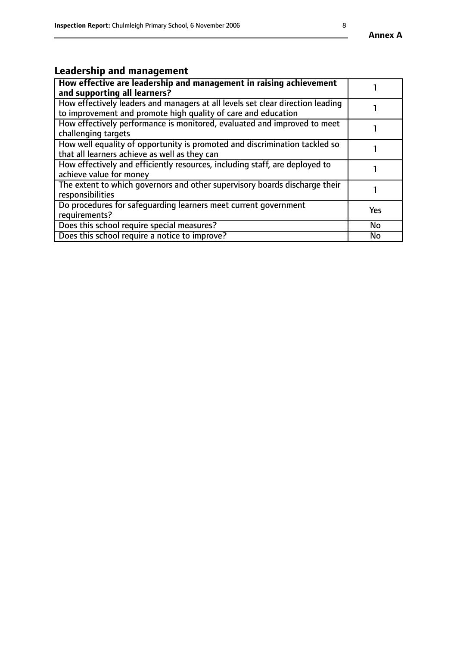# **Leadership and management**

| How effective are leadership and management in raising achievement<br>and supporting all learners?                                              |           |
|-------------------------------------------------------------------------------------------------------------------------------------------------|-----------|
| How effectively leaders and managers at all levels set clear direction leading<br>to improvement and promote high quality of care and education |           |
| How effectively performance is monitored, evaluated and improved to meet<br>challenging targets                                                 |           |
| How well equality of opportunity is promoted and discrimination tackled so<br>that all learners achieve as well as they can                     |           |
| How effectively and efficiently resources, including staff, are deployed to<br>achieve value for money                                          |           |
| The extent to which governors and other supervisory boards discharge their<br>responsibilities                                                  |           |
| Do procedures for safeguarding learners meet current government<br>requirements?                                                                | Yes       |
| Does this school require special measures?                                                                                                      | <b>No</b> |
| Does this school require a notice to improve?                                                                                                   | No        |